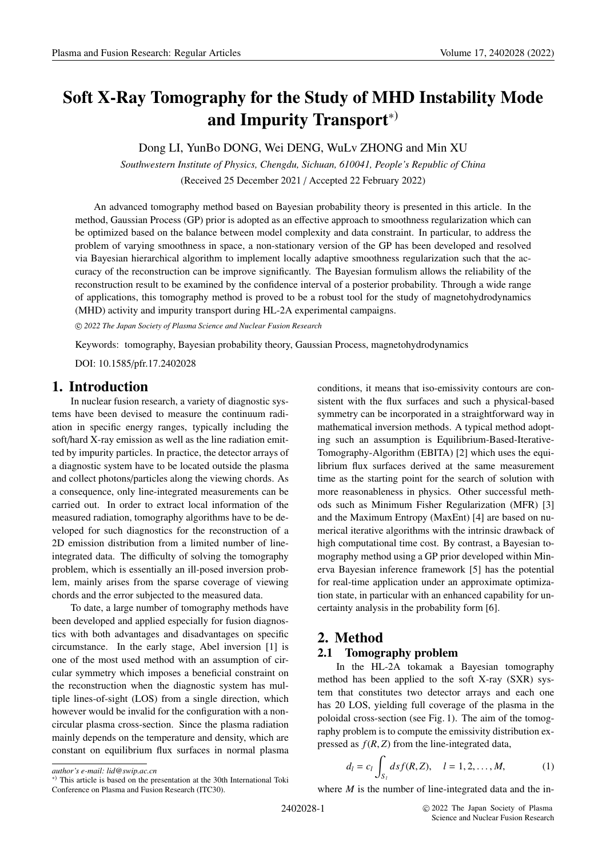# **Soft X-Ray Tomography for the Study of MHD Instability Mode and Impurity Transport**∗)

Dong LI, YunBo DONG, Wei DENG, WuLv ZHONG and Min XU

*Southwestern Institute of Physics, Chengdu, Sichuan, 610041, People's Republic of China* (Received 25 December 2021 / Accepted 22 February 2022)

An advanced tomography method based on Bayesian probability theory is presented in this article. In the method, Gaussian Process (GP) prior is adopted as an effective approach to smoothness regularization which can be optimized based on the balance between model complexity and data constraint. In particular, to address the problem of varying smoothness in space, a non-stationary version of the GP has been developed and resolved via Bayesian hierarchical algorithm to implement locally adaptive smoothness regularization such that the accuracy of the reconstruction can be improve significantly. The Bayesian formulism allows the reliability of the reconstruction result to be examined by the confidence interval of a posterior probability. Through a wide range of applications, this tomography method is proved to be a robust tool for the study of magnetohydrodynamics (MHD) activity and impurity transport during HL-2A experimental campaigns.

c *2022 The Japan Society of Plasma Science and Nuclear Fusion Research*

Keywords: tomography, Bayesian probability theory, Gaussian Process, magnetohydrodynamics

DOI: 10.1585/pfr.17.2402028

# **1. Introduction**

In nuclear fusion research, a variety of diagnostic systems have been devised to measure the continuum radiation in specific energy ranges, typically including the soft/hard X-ray emission as well as the line radiation emitted by impurity particles. In practice, the detector arrays of a diagnostic system have to be located outside the plasma and collect photons/particles along the viewing chords. As a consequence, only line-integrated measurements can be carried out. In order to extract local information of the measured radiation, tomography algorithms have to be developed for such diagnostics for the reconstruction of a 2D emission distribution from a limited number of lineintegrated data. The difficulty of solving the tomography problem, which is essentially an ill-posed inversion problem, mainly arises from the sparse coverage of viewing chords and the error subjected to the measured data.

To date, a large number of tomography methods have been developed and applied especially for fusion diagnostics with both advantages and disadvantages on specific circumstance. In the early stage, Abel inversion [1] is one of the most used method with an assumption of circular symmetry which imposes a beneficial constraint on the reconstruction when the diagnostic system has multiple lines-of-sight (LOS) from a single direction, which however would be invalid for the configuration with a noncircular plasma cross-section. Since the plasma radiation mainly depends on the temperature and density, which are constant on equilibrium flux surfaces in normal plasma conditions, it means that iso-emissivity contours are consistent with the flux surfaces and such a physical-based symmetry can be incorporated in a straightforward way in mathematical inversion methods. A typical method adopting such an assumption is Equilibrium-Based-Iterative-Tomography-Algorithm (EBITA) [2] which uses the equilibrium flux surfaces derived at the same measurement time as the starting point for the search of solution with more reasonableness in physics. Other successful methods such as Minimum Fisher Regularization (MFR) [3] and the Maximum Entropy (MaxEnt) [4] are based on numerical iterative algorithms with the intrinsic drawback of high computational time cost. By contrast, a Bayesian tomography method using a GP prior developed within Minerva Bayesian inference framework [5] has the potential for real-time application under an approximate optimization state, in particular with an enhanced capability for uncertainty analysis in the probability form [6].

# **2. Method**

### **2.1 Tomography problem**

In the HL-2A tokamak a Bayesian tomography method has been applied to the soft X-ray (SXR) system that constitutes two detector arrays and each one has 20 LOS, yielding full coverage of the plasma in the poloidal cross-section (see Fig. 1). The aim of the tomography problem is to compute the emissivity distribution expressed as  $f(R, Z)$  from the line-integrated data,

$$
d_l = c_l \int_{S_l} ds f(R, Z), \quad l = 1, 2, ..., M,
$$
 (1)

<sup>∗</sup>) This article is based on the presentation at the 30th International Toki Conference on Plasma and Fusion Research (ITC30).

*author's e-mail: lid@swip.ac.cn*

where *M* is the number of line-integrated data and the in-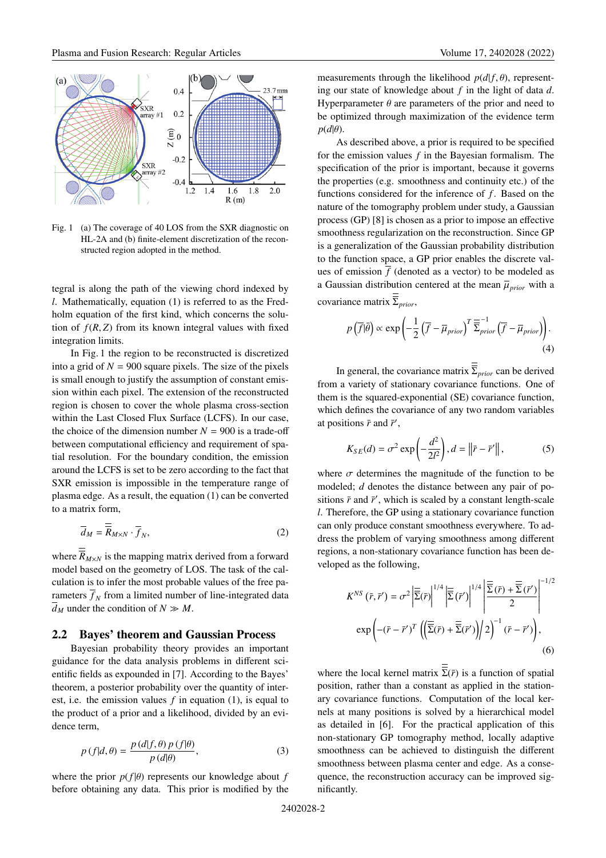

Fig. 1 (a) The coverage of 40 LOS from the SXR diagnostic on HL-2A and (b) finite-element discretization of the reconstructed region adopted in the method.

tegral is along the path of the viewing chord indexed by *l*. Mathematically, equation (1) is referred to as the Fredholm equation of the first kind, which concerns the solution of  $f(R, Z)$  from its known integral values with fixed integration limits.

In Fig. 1 the region to be reconstructed is discretized into a grid of  $N = 900$  square pixels. The size of the pixels is small enough to justify the assumption of constant emission within each pixel. The extension of the reconstructed region is chosen to cover the whole plasma cross-section within the Last Closed Flux Surface (LCFS). In our case, the choice of the dimension number  $N = 900$  is a trade-off between computational efficiency and requirement of spatial resolution. For the boundary condition, the emission around the LCFS is set to be zero according to the fact that SXR emission is impossible in the temperature range of plasma edge. As a result, the equation (1) can be converted to a matrix form,

$$
\overline{d}_M = \overline{\overline{R}}_{M \times N} \cdot \overline{f}_N,\tag{2}
$$

where  $\overline{R}_{M\times N}$  is the mapping matrix derived from a forward model based on the geometry of LOS. The task of the calculation is to infer the most probable values of the free parameters  $\overline{f}_N$  from a limited number of line-integrated data  $\overline{d}_M$  under the condition of  $N \gg M$ .

### **2.2 Bayes' theorem and Gaussian Process**

Bayesian probability theory provides an important guidance for the data analysis problems in different scientific fields as expounded in [7]. According to the Bayes' theorem, a posterior probability over the quantity of interest, i.e. the emission values *f* in equation (1), is equal to the product of a prior and a likelihood, divided by an evidence term,

$$
p(f|d,\theta) = \frac{p(d|f,\theta) p(f|\theta)}{p(d|\theta)},
$$
\n(3)

where the prior  $p(f|\theta)$  represents our knowledge about *f* before obtaining any data. This prior is modified by the measurements through the likelihood  $p(d|f, \theta)$ , representing our state of knowledge about *f* in the light of data *d*. Hyperparameter  $\theta$  are parameters of the prior and need to be optimized through maximization of the evidence term  $p(d|\theta)$ .

As described above, a prior is required to be specified for the emission values *f* in the Bayesian formalism. The specification of the prior is important, because it governs the properties (e.g. smoothness and continuity etc.) of the functions considered for the inference of *f*. Based on the nature of the tomography problem under study, a Gaussian process (GP) [8] is chosen as a prior to impose an effective smoothness regularization on the reconstruction. Since GP is a generalization of the Gaussian probability distribution to the function space, a GP prior enables the discrete values of emission  $\overline{f}$  (denoted as a vector) to be modeled as a Gaussian distribution centered at the mean  $\overline{\mu}_{prior}$  with a covariance matrix Σ*prior*,

$$
p\left(\overline{f}|\overline{\theta}\right) \propto \exp\left(-\frac{1}{2}\left(\overline{f} - \overline{\mu}_{prior}\right)^T \overline{\overline{\Sigma}}_{prior}^{-1}\left(\overline{f} - \overline{\mu}_{prior}\right)\right). \tag{4}
$$

In general, the covariance matrix  $\overline{\Sigma}_{prior}$  can be derived from a variety of stationary covariance functions. One of them is the squared-exponential (SE) covariance function, which defines the covariance of any two random variables at positions  $\bar{r}$  and  $\bar{r}'$ ,

$$
K_{SE}(d) = \sigma^2 \exp\left(-\frac{d^2}{2l^2}\right), d = \left\|\bar{r} - \bar{r}'\right\|,\tag{5}
$$

where  $\sigma$  determines the magnitude of the function to be modeled; *d* denotes the distance between any pair of positions  $\bar{r}$  and  $\bar{r}'$ , which is scaled by a constant length-scale *l*. Therefore, the GP using a stationary covariance function can only produce constant smoothness everywhere. To address the problem of varying smoothness among different regions, a non-stationary covariance function has been developed as the following,

$$
K^{NS}(\bar{r}, \bar{r}') = \sigma^2 \left| \overline{\overline{\Sigma}}(\bar{r}) \right|^{1/4} \left| \overline{\overline{\Sigma}}(\bar{r}') \right|^{1/4} \left| \overline{\overline{\Sigma}}(\bar{r}) + \overline{\overline{\Sigma}}(\bar{r}') \right|^{-1/2}
$$

$$
exp\left( -(\bar{r} - \bar{r}')^T \left( \left( \overline{\overline{\Sigma}}(\bar{r}) + \overline{\overline{\Sigma}}(\bar{r}') \right) / 2 \right)^{-1} (\bar{r} - \bar{r}') \right), \tag{6}
$$

where the local kernel matrix  $\overline{\Sigma}(\overline{r})$  is a function of spatial position, rather than a constant as applied in the stationary covariance functions. Computation of the local kernels at many positions is solved by a hierarchical model as detailed in [6]. For the practical application of this non-stationary GP tomography method, locally adaptive smoothness can be achieved to distinguish the different smoothness between plasma center and edge. As a consequence, the reconstruction accuracy can be improved significantly.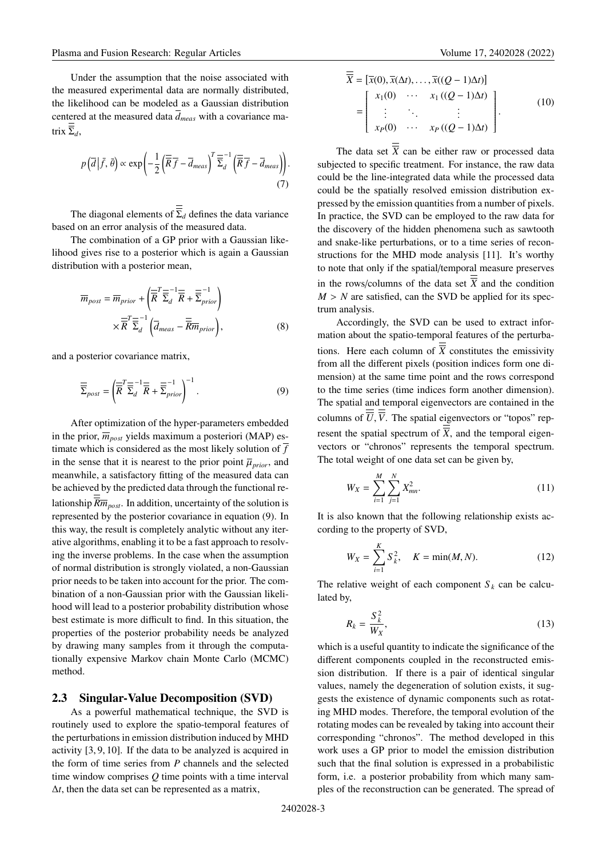Under the assumption that the noise associated with the measured experimental data are normally distributed, the likelihood can be modeled as a Gaussian distribution centered at the measured data  $\overline{d}_{meas}$  with a covariance matrix  $\overline{\Sigma}_d$ ,

$$
p\left(\overline{d}\,\middle|\,\overline{f},\,\overline{\theta}\right) \propto \exp\left(-\frac{1}{2}\left(\overline{\overline{R}}\,\overline{f} - \overline{d}_{meas}\right)^T \overline{\overline{\Sigma}}_d^{-1} \left(\overline{\overline{R}}\,\overline{f} - \overline{d}_{meas}\right)\right). \tag{7}
$$

The diagonal elements of  $\overline{\overline{\Sigma}}_d$  defines the data variance based on an error analysis of the measured data.

The combination of a GP prior with a Gaussian likelihood gives rise to a posterior which is again a Gaussian distribution with a posterior mean,

$$
\overline{m}_{post} = \overline{m}_{prior} + \left(\overline{\overline{R}}^T \overline{\overline{\Sigma}}_d^{-1} \overline{\overline{R}} + \overline{\overline{\Sigma}}_{prior}^{-1}\right) \times \overline{\overline{R}}^T \overline{\overline{\Sigma}}_d^{-1} \left(\overline{d}_{meas} - \overline{\overline{R}} \overline{m}_{prior}\right),
$$
\n(8)

and a posterior covariance matrix,

$$
\overline{\overline{\Sigma}}_{post} = \left(\overline{\overline{R}}^T \overline{\overline{\Sigma}}_d^{-1} \overline{\overline{R}} + \overline{\overline{\Sigma}}_{prior}^{-1}\right)^{-1}.
$$
\n(9)

After optimization of the hyper-parameters embedded in the prior,  $\overline{m}_{post}$  yields maximum a posteriori (MAP) estimate which is considered as the most likely solution of  $\overline{f}$ in the sense that it is nearest to the prior point  $\overline{\mu}_{prior}$ , and meanwhile, a satisfactory fitting of the measured data can be achieved by the predicted data through the functional relationship  $\overline{Rm}_{post}$ . In addition, uncertainty of the solution is represented by the posterior covariance in equation (9). In this way, the result is completely analytic without any iterative algorithms, enabling it to be a fast approach to resolving the inverse problems. In the case when the assumption of normal distribution is strongly violated, a non-Gaussian prior needs to be taken into account for the prior. The combination of a non-Gaussian prior with the Gaussian likelihood will lead to a posterior probability distribution whose best estimate is more difficult to find. In this situation, the properties of the posterior probability needs be analyzed by drawing many samples from it through the computationally expensive Markov chain Monte Carlo (MCMC) method.

### **2.3 Singular-Value Decomposition (SVD)**

As a powerful mathematical technique, the SVD is routinely used to explore the spatio-temporal features of the perturbations in emission distribution induced by MHD activity [3, 9, 10]. If the data to be analyzed is acquired in the form of time series from *P* channels and the selected time window comprises *Q* time points with a time interval Δ*t*, then the data set can be represented as a matrix,

$$
X = [\overline{x}(0), \overline{x}(\Delta t), \dots, \overline{x}((Q-1)\Delta t)]
$$
  
= 
$$
\begin{bmatrix} x_1(0) & \cdots & x_1((Q-1)\Delta t) \\ \vdots & \ddots & \vdots \\ x_P(0) & \cdots & x_P((Q-1)\Delta t) \end{bmatrix}.
$$
 (10)

The data set  $\overline{X}$  can be either raw or processed data subjected to specific treatment. For instance, the raw data could be the line-integrated data while the processed data could be the spatially resolved emission distribution expressed by the emission quantities from a number of pixels. In practice, the SVD can be employed to the raw data for the discovery of the hidden phenomena such as sawtooth and snake-like perturbations, or to a time series of reconstructions for the MHD mode analysis [11]. It's worthy to note that only if the spatial/temporal measure preserves in the rows/columns of the data set  $\overline{X}$  and the condition  $M > N$  are satisfied, can the SVD be applied for its spectrum analysis.

Accordingly, the SVD can be used to extract information about the spatio-temporal features of the perturbations. Here each column of  $\overline{X}$  constitutes the emissivity from all the different pixels (position indices form one dimension) at the same time point and the rows correspond to the time series (time indices form another dimension). The spatial and temporal eigenvectors are contained in the columns of  $\overline{U}$ ,  $\overline{V}$ . The spatial eigenvectors or "topos" represent the spatial spectrum of  $\overline{\overline{X}}$ , and the temporal eigenvectors or "chronos" represents the temporal spectrum. The total weight of one data set can be given by,

$$
W_X = \sum_{i=1}^{M} \sum_{j=1}^{N} X_{mn}^2.
$$
 (11)

It is also known that the following relationship exists according to the property of SVD,

$$
W_X = \sum_{i=1}^{K} S_k^2, \quad K = \min(M, N). \tag{12}
$$

The relative weight of each component  $S_k$  can be calculated by,

$$
R_k = \frac{S_k^2}{W_X},\tag{13}
$$

which is a useful quantity to indicate the significance of the different components coupled in the reconstructed emission distribution. If there is a pair of identical singular values, namely the degeneration of solution exists, it suggests the existence of dynamic components such as rotating MHD modes. Therefore, the temporal evolution of the rotating modes can be revealed by taking into account their corresponding "chronos". The method developed in this work uses a GP prior to model the emission distribution such that the final solution is expressed in a probabilistic form, i.e. a posterior probability from which many samples of the reconstruction can be generated. The spread of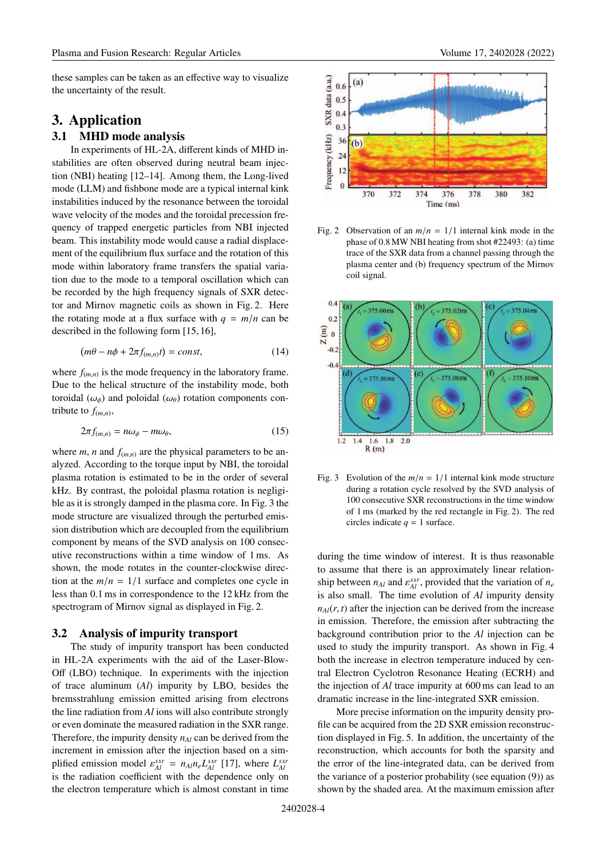these samples can be taken as an effective way to visualize the uncertainty of the result.

# **3. Application**

## **3.1 MHD mode analysis**

In experiments of HL-2A, different kinds of MHD instabilities are often observed during neutral beam injection (NBI) heating [12–14]. Among them, the Long-lived mode (LLM) and fishbone mode are a typical internal kink instabilities induced by the resonance between the toroidal wave velocity of the modes and the toroidal precession frequency of trapped energetic particles from NBI injected beam. This instability mode would cause a radial displacement of the equilibrium flux surface and the rotation of this mode within laboratory frame transfers the spatial variation due to the mode to a temporal oscillation which can be recorded by the high frequency signals of SXR detector and Mirnov magnetic coils as shown in Fig. 2. Here the rotating mode at a flux surface with  $q = m/n$  can be described in the following form [15, 16],

$$
(m\theta - n\phi + 2\pi f_{(m,n)}t) = const,
$$
\n(14)

where  $f_{(m,n)}$  is the mode frequency in the laboratory frame. Due to the helical structure of the instability mode, both toroidal ( $\omega_{\phi}$ ) and poloidal ( $\omega_{\theta}$ ) rotation components contribute to  $f_{(m,n)}$ ,

$$
2\pi f_{(m,n)} = n\omega_{\phi} - m\omega_{\theta},\tag{15}
$$

where *m*, *n* and  $f_{(m,n)}$  are the physical parameters to be analyzed. According to the torque input by NBI, the toroidal plasma rotation is estimated to be in the order of several kHz. By contrast, the poloidal plasma rotation is negligible as it is strongly damped in the plasma core. In Fig. 3 the mode structure are visualized through the perturbed emission distribution which are decoupled from the equilibrium component by means of the SVD analysis on 100 consecutive reconstructions within a time window of 1 ms. As shown, the mode rotates in the counter-clockwise direction at the  $m/n = 1/1$  surface and completes one cycle in less than 0.1 ms in correspondence to the 12 kHz from the spectrogram of Mirnov signal as displayed in Fig. 2.

#### **3.2 Analysis of impurity transport**

The study of impurity transport has been conducted in HL-2A experiments with the aid of the Laser-Blow-Off (LBO) technique. In experiments with the injection of trace aluminum (*Al*) impurity by LBO, besides the bremsstrahlung emission emitted arising from electrons the line radiation from *Al* ions will also contribute strongly or even dominate the measured radiation in the SXR range. Therefore, the impurity density  $n_{Al}$  can be derived from the increment in emission after the injection based on a simplified emission model  $\varepsilon_{Al}^{sxr} = n_{Al}n_eL_{Al}^{sxr}$  [17], where  $L_{Al}^{sxr}$ is the radiation coefficient with the dependence only on the electron temperature which is almost constant in time



Fig. 2 Observation of an  $m/n = 1/1$  internal kink mode in the phase of 0.8 MW NBI heating from shot #22493: (a) time trace of the SXR data from a channel passing through the plasma center and (b) frequency spectrum of the Mirnov coil signal.



Fig. 3 Evolution of the  $m/n = 1/1$  internal kink mode structure during a rotation cycle resolved by the SVD analysis of 100 consecutive SXR reconstructions in the time window of 1 ms (marked by the red rectangle in Fig. 2). The red circles indicate  $q = 1$  surface.

during the time window of interest. It is thus reasonable to assume that there is an approximately linear relationship between  $n_{Al}$  and  $\varepsilon_{Al}^{str}$ , provided that the variation of  $n_e$ is also small. The time evolution of *Al* impurity density  $n_{A}$ ( $r$ ,  $t$ ) after the injection can be derived from the increase in emission. Therefore, the emission after subtracting the background contribution prior to the *Al* injection can be used to study the impurity transport. As shown in Fig. 4 both the increase in electron temperature induced by central Electron Cyclotron Resonance Heating (ECRH) and the injection of *Al* trace impurity at 600 ms can lead to an dramatic increase in the line-integrated SXR emission.

More precise information on the impurity density profile can be acquired from the 2D SXR emission reconstruction displayed in Fig. 5. In addition, the uncertainty of the reconstruction, which accounts for both the sparsity and the error of the line-integrated data, can be derived from the variance of a posterior probability (see equation (9)) as shown by the shaded area. At the maximum emission after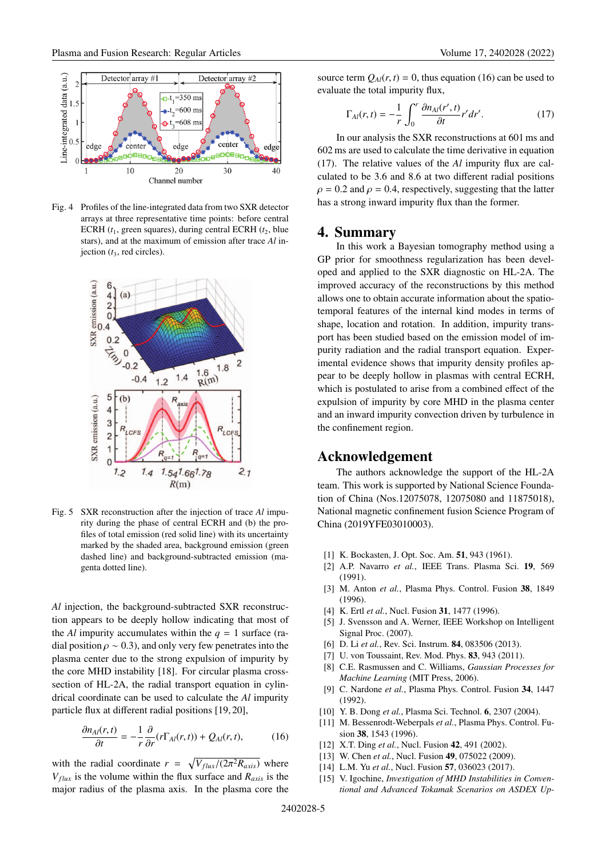

Fig. 4 Profiles of the line-integrated data from two SXR detector arrays at three representative time points: before central ECRH  $(t_1,$  green squares), during central ECRH  $(t_2,$  blue stars), and at the maximum of emission after trace *Al* injection (*t*3, red circles).



Fig. 5 SXR reconstruction after the injection of trace *Al* impurity during the phase of central ECRH and (b) the profiles of total emission (red solid line) with its uncertainty marked by the shaded area, background emission (green dashed line) and background-subtracted emission (magenta dotted line).

*Al* injection, the background-subtracted SXR reconstruction appears to be deeply hollow indicating that most of the *Al* impurity accumulates within the  $q = 1$  surface (radial position  $\rho \sim 0.3$ ), and only very few penetrates into the plasma center due to the strong expulsion of impurity by the core MHD instability [18]. For circular plasma crosssection of HL-2A, the radial transport equation in cylindrical coordinate can be used to calculate the *Al* impurity particle flux at different radial positions [19, 20],

$$
\frac{\partial n_{Al}(r,t)}{\partial t} = -\frac{1}{r} \frac{\partial}{\partial r} (r \Gamma_{Al}(r,t)) + Q_{Al}(r,t), \tag{16}
$$

with the radial coordinate  $r = \sqrt{V_{flux}/(2\pi^2 R_{axis})}$  where  $V_{flux}$  is the volume within the flux surface and  $R_{axis}$  is the major radius of the plasma axis. In the plasma core the source term  $Q_{Al}(r, t) = 0$ , thus equation (16) can be used to evaluate the total impurity flux,

$$
\Gamma_{Al}(r,t) = -\frac{1}{r} \int_0^r \frac{\partial n_{Al}(r',t)}{\partial t} r' dr'. \tag{17}
$$

In our analysis the SXR reconstructions at 601 ms and 602 ms are used to calculate the time derivative in equation (17). The relative values of the *Al* impurity flux are calculated to be 3.6 and 8.6 at two different radial positions  $\rho = 0.2$  and  $\rho = 0.4$ , respectively, suggesting that the latter has a strong inward impurity flux than the former.

### **4. Summary**

In this work a Bayesian tomography method using a GP prior for smoothness regularization has been developed and applied to the SXR diagnostic on HL-2A. The improved accuracy of the reconstructions by this method allows one to obtain accurate information about the spatiotemporal features of the internal kind modes in terms of shape, location and rotation. In addition, impurity transport has been studied based on the emission model of impurity radiation and the radial transport equation. Experimental evidence shows that impurity density profiles appear to be deeply hollow in plasmas with central ECRH, which is postulated to arise from a combined effect of the expulsion of impurity by core MHD in the plasma center and an inward impurity convection driven by turbulence in the confinement region.

### **Acknowledgement**

The authors acknowledge the support of the HL-2A team. This work is supported by National Science Foundation of China (Nos.12075078, 12075080 and 11875018), National magnetic confinement fusion Science Program of China (2019YFE03010003).

- [1] K. Bockasten, J. Opt. Soc. Am. **51**, 943 (1961).
- [2] A.P. Navarro *et al.*, IEEE Trans. Plasma Sci. **19**, 569 (1991).
- [3] M. Anton *et al.*, Plasma Phys. Control. Fusion **38**, 1849 (1996).
- [4] K. Ertl *et al.*, Nucl. Fusion **31**, 1477 (1996).
- [5] J. Svensson and A. Werner, IEEE Workshop on Intelligent Signal Proc. (2007).
- [6] D. Li *et al.*, Rev. Sci. Instrum. **84**, 083506 (2013).
- [7] U. von Toussaint, Rev. Mod. Phys. **83**, 943 (2011).
- [8] C.E. Rasmussen and C. Williams, *Gaussian Processes for Machine Learning* (MIT Press, 2006).
- [9] C. Nardone *et al.*, Plasma Phys. Control. Fusion **34**, 1447 (1992).
- [10] Y. B. Dong *et al.*, Plasma Sci. Technol. **6**, 2307 (2004).
- [11] M. Bessenrodt-Weberpals *et al.*, Plasma Phys. Control. Fusion **38**, 1543 (1996).
- [12] X.T. Ding *et al.*, Nucl. Fusion **42**, 491 (2002).
- [13] W. Chen *et al.*, Nucl. Fusion **49**, 075022 (2009).
- [14] L.M. Yu *et al.*, Nucl. Fusion **57**, 036023 (2017).
- [15] V. Igochine, *Investigation of MHD Instabilities in Conventional and Advanced Tokamak Scenarios on ASDEX Up-*